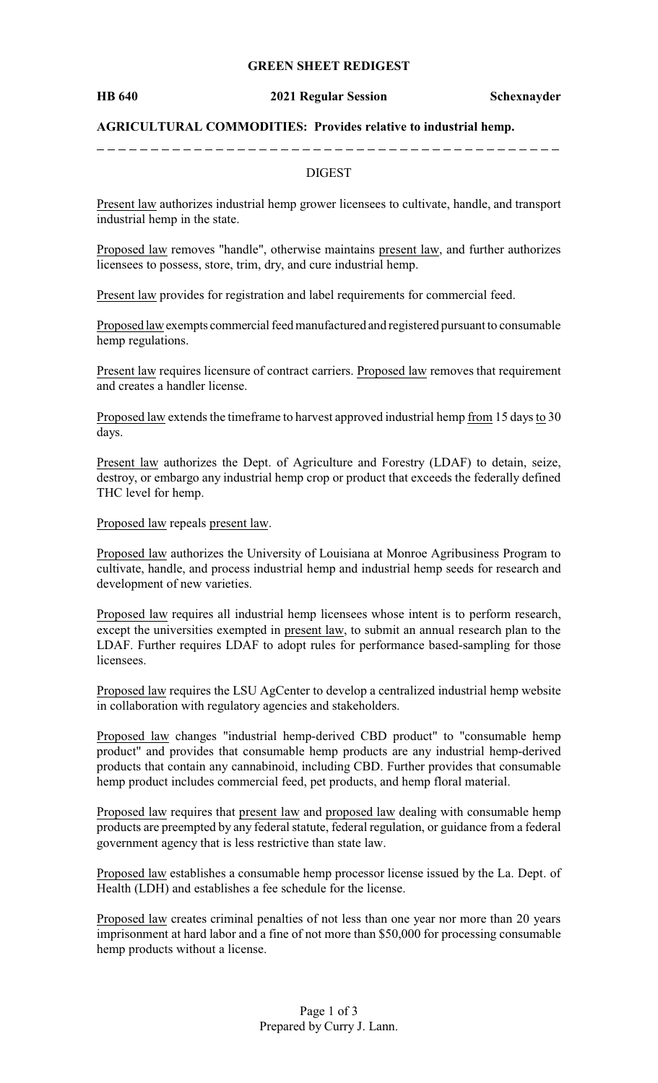#### **GREEN SHEET REDIGEST**

#### **HB 640 2021 Regular Session Schexnayder**

### **AGRICULTURAL COMMODITIES: Provides relative to industrial hemp.**

### DIGEST

Present law authorizes industrial hemp grower licensees to cultivate, handle, and transport industrial hemp in the state.

Proposed law removes "handle", otherwise maintains present law, and further authorizes licensees to possess, store, trim, dry, and cure industrial hemp.

Present law provides for registration and label requirements for commercial feed.

Proposed lawexempts commercial feed manufactured and registered pursuant to consumable hemp regulations.

Present law requires licensure of contract carriers. Proposed law removes that requirement and creates a handler license.

Proposed law extends the timeframe to harvest approved industrial hemp from 15 days to 30 days.

Present law authorizes the Dept. of Agriculture and Forestry (LDAF) to detain, seize, destroy, or embargo any industrial hemp crop or product that exceeds the federally defined THC level for hemp.

Proposed law repeals present law.

Proposed law authorizes the University of Louisiana at Monroe Agribusiness Program to cultivate, handle, and process industrial hemp and industrial hemp seeds for research and development of new varieties.

Proposed law requires all industrial hemp licensees whose intent is to perform research, except the universities exempted in present law, to submit an annual research plan to the LDAF. Further requires LDAF to adopt rules for performance based-sampling for those licensees.

Proposed law requires the LSU AgCenter to develop a centralized industrial hemp website in collaboration with regulatory agencies and stakeholders.

Proposed law changes "industrial hemp-derived CBD product" to "consumable hemp product" and provides that consumable hemp products are any industrial hemp-derived products that contain any cannabinoid, including CBD. Further provides that consumable hemp product includes commercial feed, pet products, and hemp floral material.

Proposed law requires that present law and proposed law dealing with consumable hemp products are preempted by any federal statute, federal regulation, or guidance from a federal government agency that is less restrictive than state law.

Proposed law establishes a consumable hemp processor license issued by the La. Dept. of Health (LDH) and establishes a fee schedule for the license.

Proposed law creates criminal penalties of not less than one year nor more than 20 years imprisonment at hard labor and a fine of not more than \$50,000 for processing consumable hemp products without a license.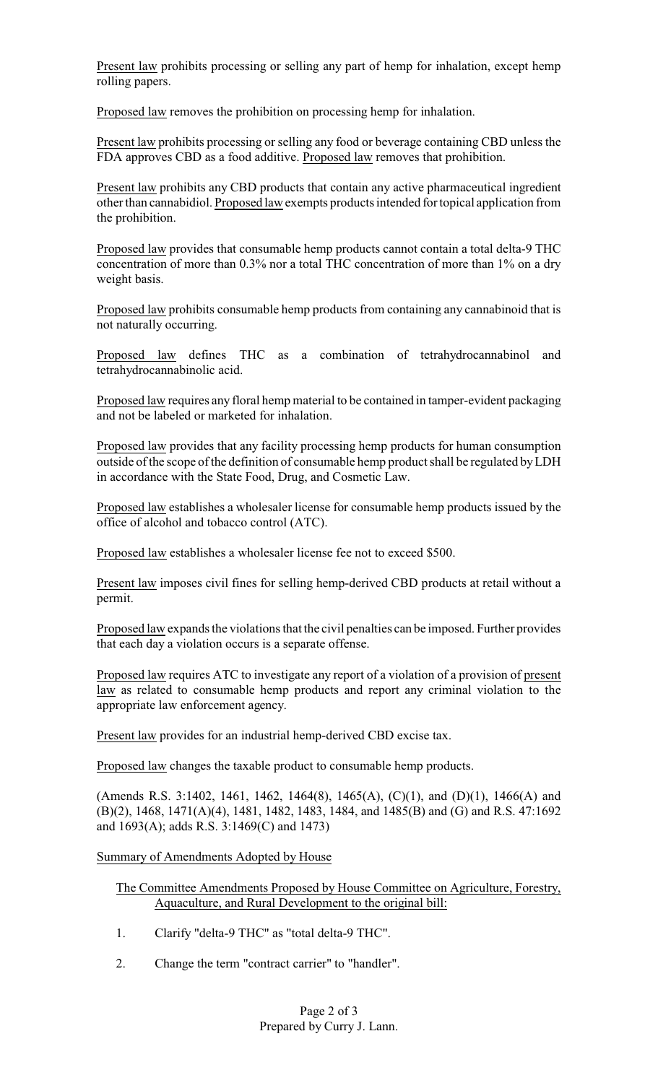Present law prohibits processing or selling any part of hemp for inhalation, except hemp rolling papers.

Proposed law removes the prohibition on processing hemp for inhalation.

Present law prohibits processing or selling any food or beverage containing CBD unless the FDA approves CBD as a food additive. Proposed law removes that prohibition.

Present law prohibits any CBD products that contain any active pharmaceutical ingredient other than cannabidiol. Proposed law exempts products intended for topical application from the prohibition.

Proposed law provides that consumable hemp products cannot contain a total delta-9 THC concentration of more than 0.3% nor a total THC concentration of more than 1% on a dry weight basis.

Proposed law prohibits consumable hemp products from containing any cannabinoid that is not naturally occurring.

Proposed law defines THC as a combination of tetrahydrocannabinol and tetrahydrocannabinolic acid.

Proposed law requires any floral hemp material to be contained in tamper-evident packaging and not be labeled or marketed for inhalation.

Proposed law provides that any facility processing hemp products for human consumption outside of the scope of the definition of consumable hemp product shall be regulated byLDH in accordance with the State Food, Drug, and Cosmetic Law.

Proposed law establishes a wholesaler license for consumable hemp products issued by the office of alcohol and tobacco control (ATC).

Proposed law establishes a wholesaler license fee not to exceed \$500.

Present law imposes civil fines for selling hemp-derived CBD products at retail without a permit.

Proposed law expands the violations that the civil penalties can be imposed. Further provides that each day a violation occurs is a separate offense.

Proposed law requires ATC to investigate any report of a violation of a provision of present law as related to consumable hemp products and report any criminal violation to the appropriate law enforcement agency.

Present law provides for an industrial hemp-derived CBD excise tax.

Proposed law changes the taxable product to consumable hemp products.

(Amends R.S. 3:1402, 1461, 1462, 1464(8), 1465(A), (C)(1), and (D)(1), 1466(A) and (B)(2), 1468, 1471(A)(4), 1481, 1482, 1483, 1484, and 1485(B) and (G) and R.S. 47:1692 and 1693(A); adds R.S. 3:1469(C) and 1473)

## Summary of Amendments Adopted by House

The Committee Amendments Proposed by House Committee on Agriculture, Forestry, Aquaculture, and Rural Development to the original bill:

- 1. Clarify "delta-9 THC" as "total delta-9 THC".
- 2. Change the term "contract carrier" to "handler".